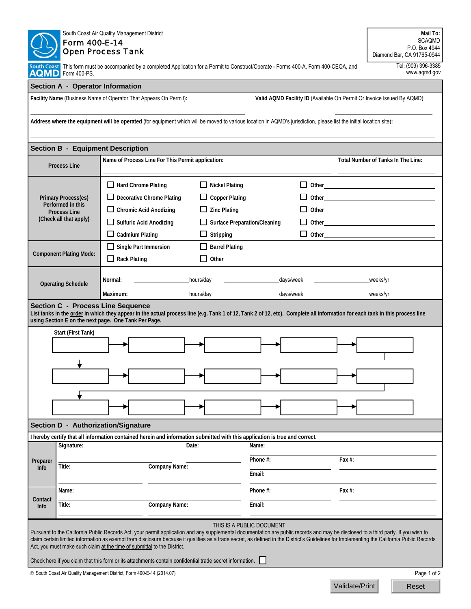| South Coast Air Quality Management District<br>Form 400-E-14<br><b>Open Process Tank</b>                                                                                                                                                                                                                                                                                                                                                                                                                                                                                                             |                                                                                                                                    |                                                                                                                                                                                        |                                                                                                                                                    |                                                                                                                                                                                                                                |            |                | Mail To:<br><b>SCAQMD</b><br>P.O. Box 4944<br>Diamond Bar, CA 91765-0944 |  |  |  |
|------------------------------------------------------------------------------------------------------------------------------------------------------------------------------------------------------------------------------------------------------------------------------------------------------------------------------------------------------------------------------------------------------------------------------------------------------------------------------------------------------------------------------------------------------------------------------------------------------|------------------------------------------------------------------------------------------------------------------------------------|----------------------------------------------------------------------------------------------------------------------------------------------------------------------------------------|----------------------------------------------------------------------------------------------------------------------------------------------------|--------------------------------------------------------------------------------------------------------------------------------------------------------------------------------------------------------------------------------|------------|----------------|--------------------------------------------------------------------------|--|--|--|
| South Coast<br>AQMD Form 400-PS.                                                                                                                                                                                                                                                                                                                                                                                                                                                                                                                                                                     | This form must be accompanied by a completed Application for a Permit to Construct/Operate - Forms 400-A, Form 400-CEQA, and       | Tel: (909) 396-3385<br>www.aqmd.gov                                                                                                                                                    |                                                                                                                                                    |                                                                                                                                                                                                                                |            |                |                                                                          |  |  |  |
| Section A - Operator Information                                                                                                                                                                                                                                                                                                                                                                                                                                                                                                                                                                     |                                                                                                                                    |                                                                                                                                                                                        |                                                                                                                                                    |                                                                                                                                                                                                                                |            |                |                                                                          |  |  |  |
| Facility Name (Business Name of Operator That Appears On Permit):<br>Valid AQMD Facility ID (Available On Permit Or Invoice Issued By AQMD):                                                                                                                                                                                                                                                                                                                                                                                                                                                         |                                                                                                                                    |                                                                                                                                                                                        |                                                                                                                                                    |                                                                                                                                                                                                                                |            |                |                                                                          |  |  |  |
|                                                                                                                                                                                                                                                                                                                                                                                                                                                                                                                                                                                                      |                                                                                                                                    | Address where the equipment will be operated (for equipment which will be moved to various location in AQMD's jurisdiction, please list the initial location site):                    |                                                                                                                                                    |                                                                                                                                                                                                                                |            |                |                                                                          |  |  |  |
| <b>Section B - Equipment Description</b>                                                                                                                                                                                                                                                                                                                                                                                                                                                                                                                                                             |                                                                                                                                    |                                                                                                                                                                                        |                                                                                                                                                    |                                                                                                                                                                                                                                |            |                |                                                                          |  |  |  |
|                                                                                                                                                                                                                                                                                                                                                                                                                                                                                                                                                                                                      | <b>Process Line</b>                                                                                                                | Name of Process Line For This Permit application:                                                                                                                                      |                                                                                                                                                    |                                                                                                                                                                                                                                |            |                | Total Number of Tanks In The Line:                                       |  |  |  |
|                                                                                                                                                                                                                                                                                                                                                                                                                                                                                                                                                                                                      | <b>Primary Process(es)</b><br>Performed in this<br><b>Process Line</b><br>(Check all that apply)<br><b>Component Plating Mode:</b> | Hard Chrome Plating<br>Decorative Chrome Plating<br>$\Box$ Chromic Acid Anodizing<br>Sulfuric Acid Anodizing<br>$\Box$ Cadmium Plating<br>Single Part Immersion<br>$\Box$ Rack Plating | $\Box$ Nickel Plating<br><b>Copper Plating</b><br>$\Box$ Zinc Plating<br><b>Surface Preparation/Cleaning</b><br>Stripping<br><b>Barrel Plating</b> | Other extension of the contract of the contract of the contract of the contract of the contract of the contract of the contract of the contract of the contract of the contract of the contract of the contract of the contrac |            |                |                                                                          |  |  |  |
|                                                                                                                                                                                                                                                                                                                                                                                                                                                                                                                                                                                                      | <b>Operating Schedule</b>                                                                                                          | Normal:<br>Maximum:                                                                                                                                                                    | hours/day<br>hours/day                                                                                                                             | days/week                                                                                                                                                                                                                      | _days/week |                | weeks/yr<br>weeks/yr                                                     |  |  |  |
| <b>Section C - Process Line Sequence</b><br>List tanks in the order in which they appear in the actual process line (e.g. Tank 1 of 12, Tank 2 of 12, etc). Complete all information for each tank in this process line<br>using Section E on the next page. One Tank Per Page.<br>Start (First Tank)                                                                                                                                                                                                                                                                                                |                                                                                                                                    |                                                                                                                                                                                        |                                                                                                                                                    |                                                                                                                                                                                                                                |            |                |                                                                          |  |  |  |
|                                                                                                                                                                                                                                                                                                                                                                                                                                                                                                                                                                                                      |                                                                                                                                    |                                                                                                                                                                                        |                                                                                                                                                    |                                                                                                                                                                                                                                |            |                |                                                                          |  |  |  |
|                                                                                                                                                                                                                                                                                                                                                                                                                                                                                                                                                                                                      |                                                                                                                                    |                                                                                                                                                                                        |                                                                                                                                                    |                                                                                                                                                                                                                                |            |                |                                                                          |  |  |  |
|                                                                                                                                                                                                                                                                                                                                                                                                                                                                                                                                                                                                      |                                                                                                                                    |                                                                                                                                                                                        |                                                                                                                                                    |                                                                                                                                                                                                                                |            |                |                                                                          |  |  |  |
|                                                                                                                                                                                                                                                                                                                                                                                                                                                                                                                                                                                                      |                                                                                                                                    | Section D - Authorization/Signature                                                                                                                                                    |                                                                                                                                                    |                                                                                                                                                                                                                                |            |                |                                                                          |  |  |  |
|                                                                                                                                                                                                                                                                                                                                                                                                                                                                                                                                                                                                      |                                                                                                                                    | I hereby certify that all information contained herein and information submitted with this application is true and correct.                                                            |                                                                                                                                                    |                                                                                                                                                                                                                                |            |                |                                                                          |  |  |  |
| Preparer<br><b>Info</b>                                                                                                                                                                                                                                                                                                                                                                                                                                                                                                                                                                              | Signature:<br>Date:<br>Title:<br><b>Company Name:</b>                                                                              |                                                                                                                                                                                        |                                                                                                                                                    | Name:<br>Phone #:<br>Email:                                                                                                                                                                                                    |            | Fax $#$ :      |                                                                          |  |  |  |
|                                                                                                                                                                                                                                                                                                                                                                                                                                                                                                                                                                                                      | Name:                                                                                                                              |                                                                                                                                                                                        |                                                                                                                                                    | Phone #:                                                                                                                                                                                                                       |            | Fax $#$ :      |                                                                          |  |  |  |
| Contact<br><b>Info</b>                                                                                                                                                                                                                                                                                                                                                                                                                                                                                                                                                                               | Title:                                                                                                                             | <b>Company Name:</b>                                                                                                                                                                   |                                                                                                                                                    | Email:                                                                                                                                                                                                                         |            |                |                                                                          |  |  |  |
| THIS IS A PUBLIC DOCUMENT<br>Pursuant to the California Public Records Act, your permit application and any supplemental documentation are public records and may be disclosed to a third party. If you wish to<br>claim certain limited information as exempt from disclosure because it qualifies as a trade secret, as defined in the District's Guidelines for Implementing the California Public Records<br>Act, you must make such claim at the time of submittal to the District.<br>Check here if you claim that this form or its attachments contain confidential trade secret information. |                                                                                                                                    |                                                                                                                                                                                        |                                                                                                                                                    |                                                                                                                                                                                                                                |            |                |                                                                          |  |  |  |
|                                                                                                                                                                                                                                                                                                                                                                                                                                                                                                                                                                                                      |                                                                                                                                    | © South Coast Air Quality Management District, Form 400-E-14 (2014.07)                                                                                                                 |                                                                                                                                                    |                                                                                                                                                                                                                                |            |                | Page 1 of 2                                                              |  |  |  |
|                                                                                                                                                                                                                                                                                                                                                                                                                                                                                                                                                                                                      |                                                                                                                                    |                                                                                                                                                                                        |                                                                                                                                                    |                                                                                                                                                                                                                                |            | Validate/Print | Reset                                                                    |  |  |  |